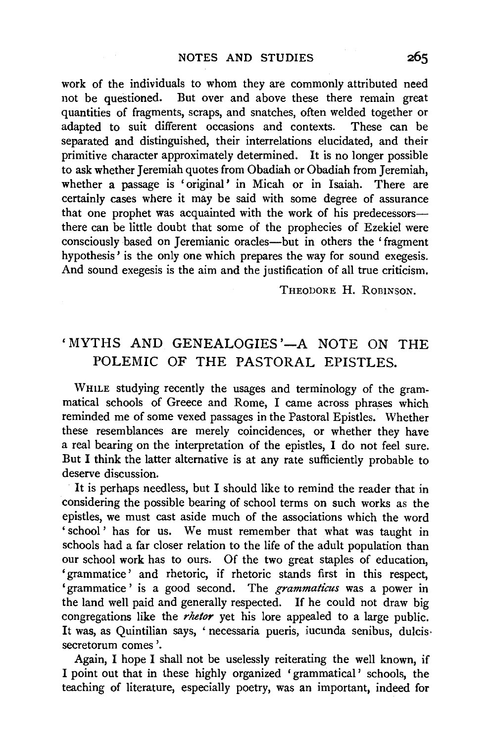work of the individuals to whom they are commonly attributed need not be questioned. But over and above these there remain great quantities of fragments, scraps, and snatches, often welded together or adapted to suit different occasions and contexts. These can be separated and distinguished, their interrelations elucidated, and their primitive character approximately determined. It is no longer possible to ask whether Jeremiah quotes from Obadiah or Obadiah from Jeremiah, whether a passage is 'original' in Micah or in Isaiah. There are certainly cases where it may be said with some degree of assurance that one prophet was acquainted with the work of his predecessorsthere can be little doubt that some of the prophecies of Ezekiel were consciously based on Jeremianic oracles--but in others the 'fragment hypothesis' is the only one which prepares the way for sound exegesis. And sound exegesis is the aim and the justification of all true criticism.

THEODORE H. ROBINSON.

## 'MYTHS AND GENEALOGIES'-A NOTE ON THE POLEMIC OF THE PASTORAL EPISTLES.

WHILE studying recently the usages and terminology of the grammatical schools of Greece and Rome, I came across phrases which reminded me of some vexed passages in the Pastoral Epistles. Whether these resemblances are merely coincidences, or whether they have a real bearing on the interpretation of the epistles, I do not feel sure. But I think the latter alternative is at any rate sufficiently probable to deserve discussion.

It is perhaps needless, but I should like to remind the reader that in considering the possible bearing of school terms on such works as the epistles, we must cast aside much of the associations which the word 'school' has for us. We must remember that what was taught in schools had a far closer relation to the life of the adult population than our school work has to ours. Of the two great staples of education, 'grammatice' and rhetoric, if rhetoric stands first in this respect, 'grammatice ' is a good second. The *grammaticus* was a power in the land well paid and generally respected. If he could not draw big congregations like the *rhetor* yet his lore appealed to a large public. It was, as Quintilian says, 'necessaria pueris, iucunda senibus, dulcis· secretorum comes '.

Again, I hope I shall not be uselessly reiterating the well known, if I point out that in these highly organized 'grammatical' schools, the teaching of literature, especially poetry, was an important, indeed for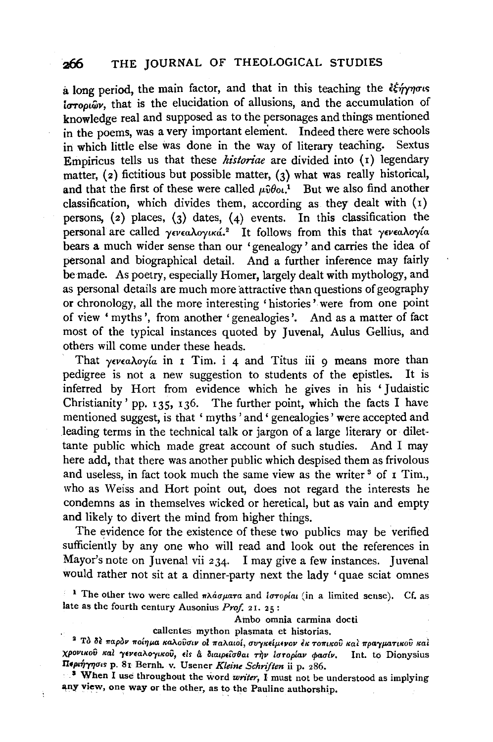a long period, the main factor, and that in this teaching the  $\frac{2}{3}$ the  $\frac{2}{3}$ ungus *ioropiby*, that is the elucidation of allusions, and the accumulation of knowledge real and supposed as to the personages and things mentioned in the poems, was a very important element. Indeed there were schools in which little else was done in the way of literary teaching. Sextus Empiricus tells us that these *historiae* are divided into (1) legendary matter, (2) fictitious but possible matter, (3) what was really historical, and that the first of these were called  $\mu \hat{v} \theta o \hat{i}$ . But we also find another classification, which divides them, according as they dealt with  $(1)$ persons, (2) places, (3) dates, (4) events. In this classification the personal are called *yeveaAoyiKa.2* It follows from this that *yeveaAoy{a*  bears a much wider sense than our 'genealogy ' and carries the idea of personal and biographical detail. And a further inference may fairly be made. As poetry, especially Homer, largely dealt with mythology, and as personal details are much more attractive than questions of geography or chronology, all the more interesting 'histories' were from one point of view ' myths', from another 'genealogies'. And as a matter of fact most of the typical instances quoted by Juvenal, Aulus Gellius, and others will come under these heads.

That *yeveaAoy{a* in 1 Tim. i 4 and Titus iii 9 means more than pedigree is not a new suggestion to students of the epistles. It is inferred by Hort from evidence which he gives in his 'Judaistic Christianity' pp. 135, 136. The further point, which the facts I have mentioned suggest, is that ' myths ' and ' genealogies' were accepted and leading terms in the technical talk or jargon of a large literary or dilettante public which made great account of such studies. And I may here add, that there was another public which despised them as frivolous and useless, in fact took much the same view as the writer  $3$  of  $1$  Tim., who as Weiss and Hort point out, does not regard the interests he condemns as in themselves wicked or heretical, but as vain and empty and likely to divert the mind from higher things.

The evidence for the existence of these two publics may be verified sufficiently by any one who will read and look out the references in Mayor's note on Juvenal vii 234. I may give a few instances. Juvenal would rather not sit at a dinner-party next the lady 'quae sciat omnes

<sup>1</sup> The other two were called  $\pi\lambda d\sigma\mu$ ara and  $i\sigma\tau o\rho i\alpha$  (in a limited sense). Cf. as late as the fourth century Ausonius *Prof.* 21. 25:

Ambo omnia carmina docti

callenles mython plasmata et historias.

<sup>2</sup> Το δε παρον ποίημα καλούσιν οι παλαιοί, συγκείμενον εκ τοπικού και πραγματικού και χρονικού και γενεαλογικού, είς α διαιρείσθαι την ίστορίαν φασίν. Int. to Dionysius Περιήγησις p. 81 Bernh. v. Usener *Kleine Schriften* ii p. 286.

· . • When I use throughout the word *writer,* I must not be understood as implying any view, one way or the other, as to the Pauline authorship.

ŧ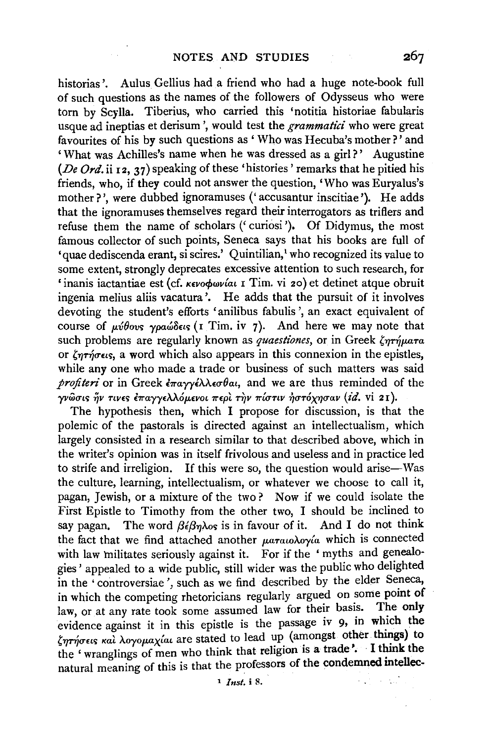historias'. Aulus Gellius had a friend who had a huge note-book full of such questions as the names of the followers of Odysseus who were torn by Scylla. Tiberius, who carried this 'notitia historiae fabularis usque ad ineptias et derisum ', would test the *grammatici* who were great favourites of his by such questions as ' Who was Hecuba's mother?' and 'What was Achilles's name when he was dressed as a girl?' Augustine *(De Ord.* ii 12, 37) speaking of these 'histories' remarks that he pitied his friends, who, if they could not answer the question, 'Who was Euryalus's mother?', were dubbed ignoramuses (' accusantur inscitiae '). He adds that the ignoramuses themselves regard their interrogators as triflers and refuse them the name of scholars (' curiosi '), Of Didymus, the most famous collector of such points, Seneca says that his books are full of 'quae dediscenda erant, si scires.' Quintilian, who recognized its value to some extent, strongly deprecates excessive attention to such research, for 'inanis iactantiae est (cf. *KEVOQWVAI* 1 Tim. vi 20) et detinet atque obruit ingenia melius aliis vacatura '. He adds that the pursuit of it involves devoting the student's efforts 'anilibus fabulis ', an exact equivalent of course of *p:vOovr; ypaw8nr;* (1 Tim. iv 7). And here we may note that such problems are regularly known as *quaestiones*, or in Greek  $\zeta_{\eta}$ *rήματα* or  $\zeta_{\eta\tau\eta\sigma\epsilon\iota\varsigma}$ , a word which also appears in this connexion in the epistles, while any one who made a trade or business of such matters was said profiteri or in Greek επαγγέλλεσθαι, and we are thus reminded of the *γν*ώσις ήν τινες επαγγελλόμενοι περι την πίστιν ήστόχησαν (id. vi 21).

The hypothesis then, which I propose for discussion, is that the polemic of the pastorals is directed against an intellectualism, which largely consisted in a research similar to that described above, which in the writer's opinion was in itself frivolous and useless and in practice led to strife and irreligion. If this were so, the question would arise-Was the culture, learning, intellectualism, or whatever we choose to call it, pagan, Jewish, or a mixture of the two ? Now if we could isolate the First Epistle to Timothy from the other two, I should be inclined to say pagan. The word  $\beta \epsilon \beta \eta \lambda$  is in favour of it. And I do not think the fact that we find attached another ματαιολογία which is connected with law militates seriously against it. For if the ' myths and genealogies' appealed to a wide public, still wider was the public who delighted in the ' controversiae', such as we find described by the elder Seneca, in which the competing rhetoricians regularly argued on some point of law are at any rate tool, again argued law for their basis. The only law, or at any rate took some assumed law for their basis. evidence against it in this epistle is the passage iv 9, in which the  $\zeta$ ητήσεις και λογομαχίαι are stated to lead up (amongst other things) to the 'wranglings of men who think that religion is a trade'. I think the natural meaning of this is that the professors of the condemned mtellec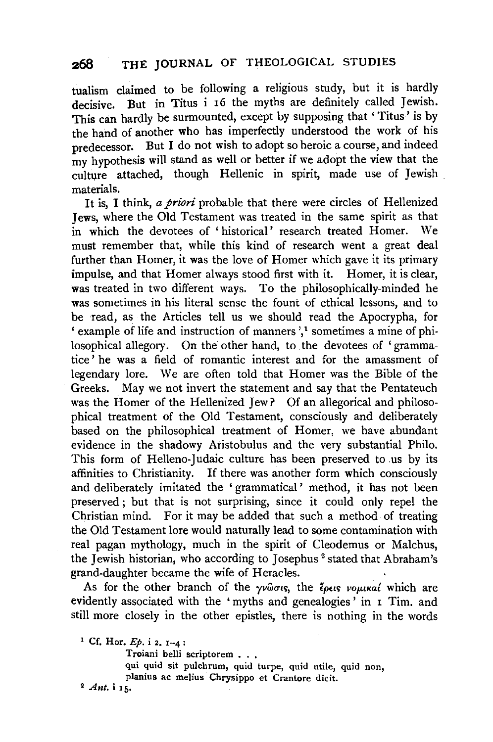tualism claimed to be following a religious study, but it is hardly decisive. But in Titus i 16 the myths are definitely called Jewish. This can hardly be surmounted, except by supposing that ' Titus' is by the hand of another who has imperfectly understood the work of his predecessor. But I do not wish to adopt so heroic a course, and indeed my hypothesis will stand as well or better if we adopt the view that the culture attached, though Hellenic in spirit, made use of Jewish materials.

It is, I think, *a priori* probable that there were circles of Hellenized Jews, where the Old Testament was treated in the same spirit as that in which the devotees of ' historical' research treated Homer. We must remember that, while this kind of research went a great deal further than Homer, it was the love of Homer which gave it its primary impulse, and that Homer always stood first with it. Homer, it is clear, was treated in two different ways. To the philosophically-minded he was sometimes in his literal sense the fount of ethical lessons, and to be read, as the Articles tell us we should read the Apocrypha, for ' example of life and instruction of manners ', 1 sometimes a mine of philosophical allegory. On the other hand, to the devotees of ' grammatice ' he was a field of romantic interest and for the amassment of legendary lore. We are often told that Homer was the Bible of the Greeks. May we not invert the statement and say that the Pentateuch was the Homer of the Hellenized Jew? Of an allegorical and philosophical treatment of the Old Testament, consciously and deliberately based on the philosophical treatment of Homer, we have abundant evidence in the shadowy Aristobulus and the very substantial Philo. This form of Helleno-Judaic culture has been preserved to .us by its affinities to Christianity. If there was another form which consciously and deliberately imitated the ' grammatical ' method, it has not been preserved; but that is not surprising, since it could only repel the Christian mind. For it may be added that such a method of treating the Old Testament lore would naturally lead to some contamination with real pagan mythology, much in the spirit of Cleodemus or Malchus, the Jewish historian, who according to Josephus<sup>2</sup> stated that Abraham's grand-daughter became the wife of Heracles.

As for the other branch of the  $\gamma v\hat{\omega}\sigma v$ , the  $\zeta\rho\epsilon v\sigma\omega\mu\kappa\alpha'$  which are evidently associated with the ' myths and genealogies ' in 1 Tim. and still more closely in the other epistles, there is nothing in the words

Troiani belli scriptorem . . .

qui quid sit pulchrum, quid turpe, quid utile, quid non, planius ac melius Chrysippo et Crantore dicit.

2 *Ant.* i 15.

<sup>&</sup>lt;sup>1</sup> Cf. Hor.  $Ep. i 2, 1-4:$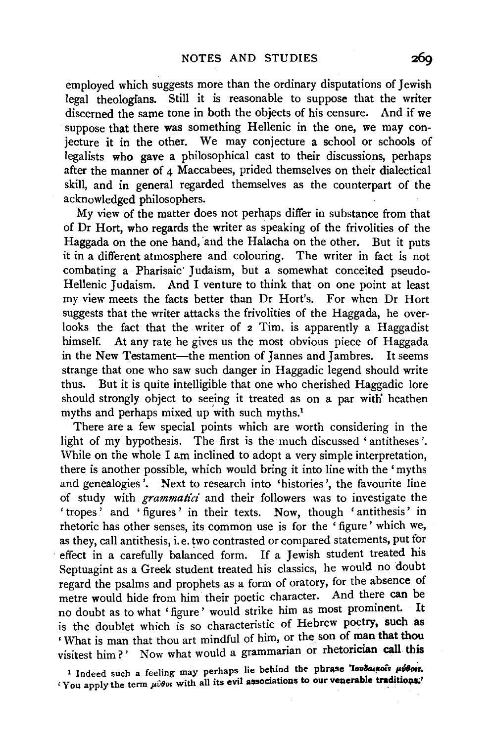employed which suggests more than the ordinary disputations of Jewish legal theologians. Still it is reasonable to suppose that the writer discerned the same tone in both the objects of his censure. And if we suppose that there was something Hellenic in the one, we may conjecture it in the other. We may conjecture a school or schools of legalists who gave a philosophical cast to their discussions, perhaps after the manner of  $\Delta$  Maccabees, prided themselves on their dialectical skill, and in general regarded themselves as the counterpart of the acknowledged philosophers.

My view of the matter does not perhaps differ in substance from that of Dr Hort, who regards the writer as speaking of the frivolities of the Haggada on the one hand, and the Halacha on the other. But it puts it in a different atmosphere and colouring. The writer in fact is not combating a Pharisaic· Judaism, but a somewhat conceited pseudo-Hellenic Judaism. And I venture to think that on one point at least my view meets the facts better than Dr Hort's. For when Dr Hort suggests that the writer attacks the frivolities of the Haggada, he overlooks the fact that the writer of 2 Tim. is apparently a Haggadist himself. At any rate he gives us the most obvious piece of Haggada in the New Testament—the mention of Jannes and Jambres. It seems strange that one who saw such danger in Haggadic legend should write thus. But it is quite intelligible that one who cherished Haggadic lore should strongly object to seeing it treated as on a par witli heathen myths and perhaps mixed up 'with such myths.1

There are a few special points which are worth considering in the light of my hypothesis. The first is the much discussed 'antitheses'. While on the whole I am inclined to adopt a very simple interpretation, there is another possible, which would bring it into line with the ' myths and genealogies'. Next to research into 'histories', the favourite line of study with *grammatici* and their followers was to investigate the 'tropes' and 'figures' in their texts. Now, though 'antithesis' in rhetoric has other senses, its common use is for the ' figure' which we, as they, call antithesis, i. e. two contrasted or compared statements, put for effect in a carefully balanced form. If a Jewish student treated his Septuagint as a Greek student treated his classics, he would no doubt regard the psalms and prophets as a form of oratory, for the absence of metre would hide from him their poetic character. And there can be no doubt as to what 'figure' would strike him as most prominent. It is the doublet which is so characteristic of Hebrew poetry, such as 'What is man that thou art mindful of him, or the. son of man that thou visitest him?' Now what would a grammarian or rhetorician call this

<sup>1</sup> Indeed such a feeling may perhaps lie behind the phrase 'Iovδαικοί's μύθρις. <sup>1</sup> You apply the term μύθοι with all its evil associations to our venerable traditions.'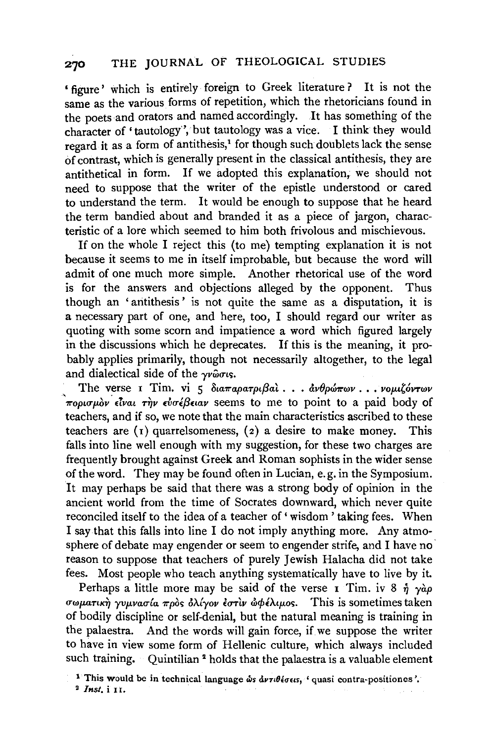## 270 THE JOURNAL OF THEOLOGICAL STUDIES

• figure' which is entirely foreign to Greek literature ? It is not the same as the various forms of repetition, which the rhetoricians found in the poets and orators and named accordingly. It has something of the character of 'tautology', but tautology was a vice. I think they would regard it as a form of antithesis,<sup>1</sup> for though such doublets lack the sense of contrast, which is generally present in the classical antithesis, they are antithetical in form. If we adopted this explanation, we should not need to suppose that the writer of the epistle understood or cared to understand the term. It would be enough to suppose that he heard the term bandied about and branded it as a piece of jargon, characteristic of a lore which seemed to him both frivolous and mischievous.

If on the whole I reject this (to me) tempting explanation it is not because it seems to me in itself improbable, but because the word will admit of one much more simple. Another rhetorical use of the word is for the answers and objections alleged by the opponent. Thus though an 'antithesis ' is not quite the same as a disputation, it is a necessary part of one, and here, too, I should regard our writer as quoting with some scorn and impatience a word which figured largely in the discussions which he deprecates. If this is the meaning, it probably applies primarily, though not necessarily altogether, to the legal and dialectical side of the  $\gamma \nu \hat{\omega} \sigma \nu s$ .

The verse *τ* Tim. vi 5 διαπαρατριβαί... *ανθρώπων* ... *νομιζόντων πορισμόν είναι την ευσέβειαν* seems to me to point to a paid body of teachers, and if so, we note that the main characteristics ascribed to these teachers are  $(1)$  quarrelsomeness,  $(2)$  a desire to make money. This falls into line well enough with my suggestion, for these two charges are frequently brought against Greek and Roman sophists in the wider sense of the word. They may be found often in Lucian, e.g. in the Symposium. It may perhaps be said that there was a strong body of opinion in the ancient world from the time of Socrates downward, which never quite reconciled itself to the idea of a teacher of 'wisdom' taking fees. When I say that this falls into line I do not imply anything more. Any atmosphere of debate may engender or seem to engender strife, and I have no reason to suppose that teachers of purely Jewish Halacha did not take fees. Most people who teach anything systematically have to live by it.

Perhaps a little more may be said of the verse 1 Tim. iv 8  $\eta \gamma \alpha \rho$ <TWJJ-UTtK~ *yvµvaula 7rpd'> &>..lyov E<TTlv* w<f>l.> .. *iµo').* This is sometimes taken of bodily discipline or self-denial, but the natural meaning is training in the palaestra. And the words will gain force, if we suppose the writer to have in view some form of Hellenic culture, which always included such training. Quintilian<sup>2</sup> holds that the palaestra is a valuable element

<sup>&</sup>lt;sup>1</sup> This would be in technical language  $\omega s \, d\nu \tau \theta \, \delta \sigma \, \epsilon s$ , ' quasi contra-positiones'.

<sup>2</sup> *Inst.* i II.